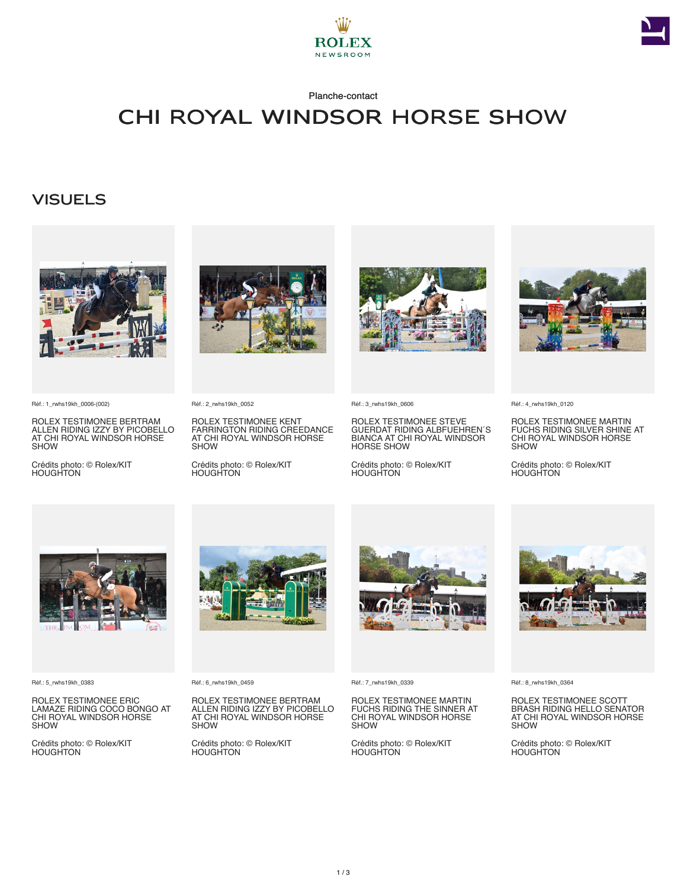



#### Planche-contact

## CHI Royal Windsor Horse Show

### **VISUELS**



Réf.: 1\_rwhs19kh\_0006-(002)

ROLEX TESTIMONEE BERTRAM ALLEN RIDING IZZY BY PICOBELLO AT CHI ROYAL WINDSOR HORSE SHOW

Crédits photo: © Rolex/KIT HOUGHTON



Réf.: 2\_rwhs19kh\_0052

ROLEX TESTIMONEE KENT FARRINGTON RIDING CREEDANCE AT CHI ROYAL WINDSOR HORSE **SHOW** 

Crédits photo: © Rolex/KIT HOUGHTON



Réf.: 3\_rwhs19kh\_0606

ROLEX TESTIMONEE STEVE GUERDAT RIDING ALBFUEHREN´S BIANCA AT CHI ROYAL WINDSOR HORSE SHOW

Crédits photo: © Rolex/KIT HOUGHTON



Réf.: 4\_rwhs19kh\_0120

ROLEX TESTIMONEE MARTIN FUCHS RIDING SILVER SHINE AT CHI ROYAL WINDSOR HORSE SHOW

Crédits photo: © Rolex/KIT HOUGHTON



Réf.: 5\_rwhs19kh\_0383

ROLEX TESTIMONEE ERIC LAMAZE RIDING COCO BONGO AT CHI ROYAL WINDSOR HORSE SHOW

Crédits photo: © Rolex/KIT **HOUGHTON** 



Réf.: 6\_rwhs19kh\_0459

ROLEX TESTIMONEE BERTRAM ALLEN RIDING IZZY BY PICOBELLO AT CHI ROYAL WINDSOR HORSE SHOW

Crédits photo: © Rolex/KIT **HOUGHTON** 



Réf.: 7\_rwhs19kh\_0339

ROLEX TESTIMONEE MARTIN FUCHS RIDING THE SINNER AT CHI ROYAL WINDSOR HORSE SHOW

Crédits photo: © Rolex/KIT HOUGHTON



Réf.: 8\_rwhs19kh\_0364

ROLEX TESTIMONEE SCOTT BRASH RIDING HELLO SENATOR AT CHI ROYAL WINDSOR HORSE SHOW

Crédits photo: © Rolex/KIT HOUGHTON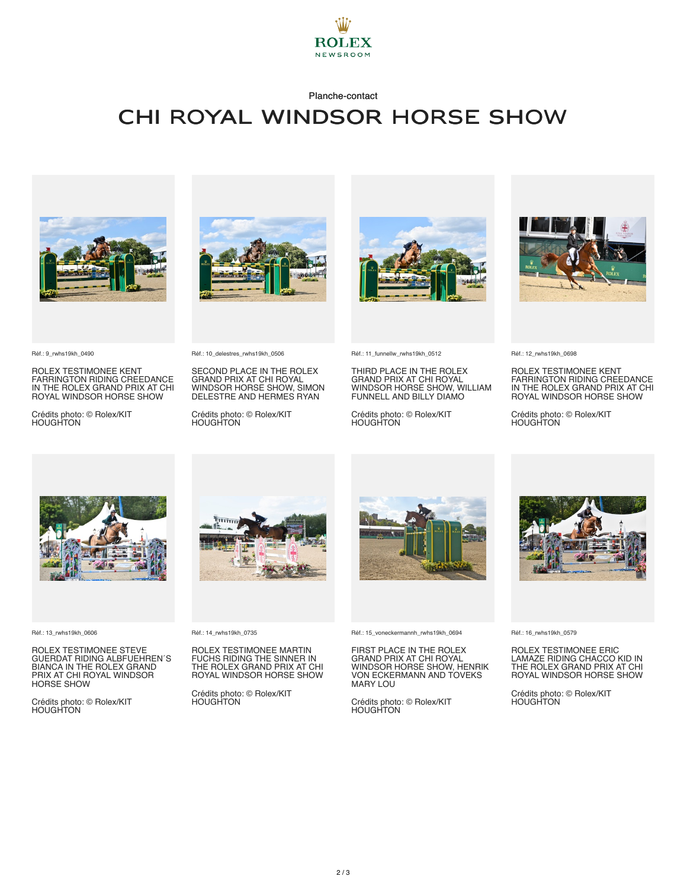

#### Planche-contact

## CHI Royal Windsor Horse Show



Réf.: 9\_rwhs19kh\_0490

ROLEX TESTIMONEE KENT FARRINGTON RIDING CREEDANCE IN THE ROLEX GRAND PRIX AT CHI ROYAL WINDSOR HORSE SHOW

Crédits photo: © Rolex/KIT **HOUGHTON** 





SECOND PLACE IN THE ROLEX GRAND PRIX AT CHI ROYAL WINDSOR HORSE SHOW, SIMON DELESTRE AND HERMES RYAN

Crédits photo: © Rolex/KIT HOUGHTON



Réf.: 11\_funnellw\_rwhs19kh\_0512

THIRD PLACE IN THE ROLEX GRAND PRIX AT CHI ROYAL WINDSOR HORSE SHOW, WILLIAM FUNNELL AND BILLY DIAMO

Crédits photo: © Rolex/KIT HOUGHTON



Réf.: 12\_rwhs19kh\_0698

ROLEX TESTIMONEE KENT FARRINGTON RIDING CREEDANCE IN THE ROLEX GRAND PRIX AT CHI ROYAL WINDSOR HORSE SHOW

Crédits photo: © Rolex/KIT HOUGHTON

Réf.: 13\_rwhs19kh\_0606

ROLEX TESTIMONEE STEVE GUERDAT RIDING ALBFUEHREN´S BIANCA IN THE ROLEX GRAND PRIX AT CHI ROYAL WINDSOR HORSE SHOW

Crédits photo: © Rolex/KIT HOUGHTON



Réf.: 14\_rwhs19kh\_0735

ROLEX TESTIMONEE MARTIN FUCHS RIDING THE SINNER IN THE ROLEX GRAND PRIX AT CHI ROYAL WINDSOR HORSE SHOW

Crédits photo: © Rolex/KIT HOUGHTON



Réf.: 15\_voneckermannh\_rwhs19kh\_0694

FIRST PLACE IN THE ROLEX GRAND PRIX AT CHI ROYAL WINDSOR HORSE SHOW, HENRIK VON ECKERMANN AND TOVEKS MARY LOU

Crédits photo: © Rolex/KIT HOUGHTON



Réf.: 16\_rwhs19kh\_0579

ROLEX TESTIMONEE ERIC LAMAZE RIDING CHACCO KID IN THE ROLEX GRAND PRIX AT CHI ROYAL WINDSOR HORSE SHOW

Crédits photo: © Rolex/KIT **HOUGHTON**